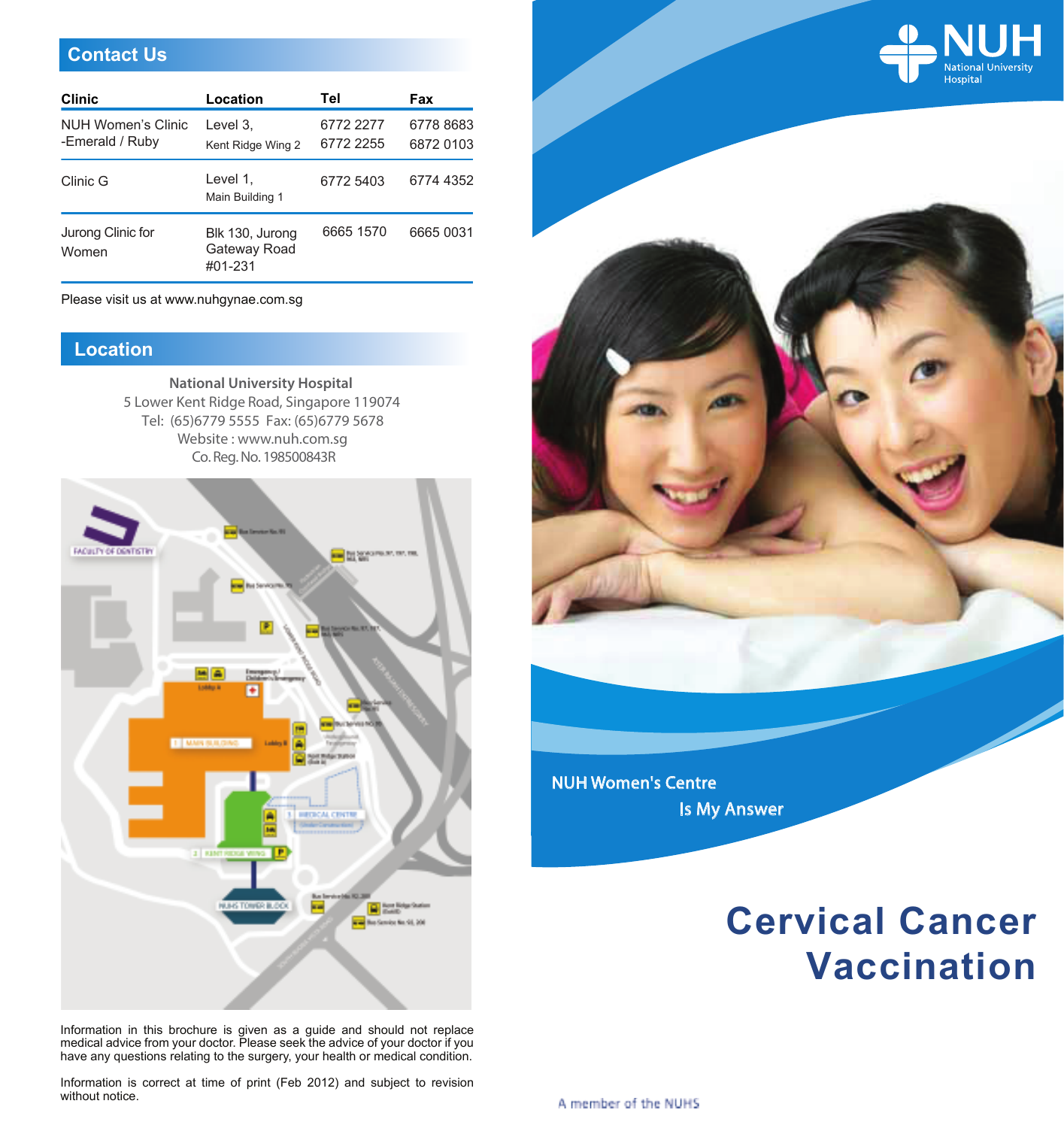# **Contact Us**

| Clinic                                | Location                                   | Tel                    | Fax                    |
|---------------------------------------|--------------------------------------------|------------------------|------------------------|
| NUH Women's Clinic<br>-Emerald / Ruby | Level 3.<br>Kent Ridge Wing 2              | 6772 2277<br>6772 2255 | 6778 8683<br>6872 0103 |
| Clinic G                              | Level 1.<br>Main Building 1                | 6772 5403              | 6774 4352              |
| Jurong Clinic for<br>Women            | Blk 130, Jurong<br>Gateway Road<br>#01-231 | 6665 1570              | 6665 0031              |

Please visit us at www.nuhgynae.com.sg

## **Location**

Co. Reg. No. 198500843R **National University Hospital**  5 Lower Kent Ridge Road, Singapore 119074 Website : www.nuh.com.sg Tel: (65)6779 5555 Fax: (65)6779 5678



Information in this brochure is given as a guide and should not replace medical advice from your doctor. Please seek the advice of your doctor if you have any questions relating to the surgery, your health or medical condition.

Information is correct at time of print (Feb 2012) and subject to revision without notice.



NUH Women's Centre Is My Answer

# **Cervical Cancer Vaccination**